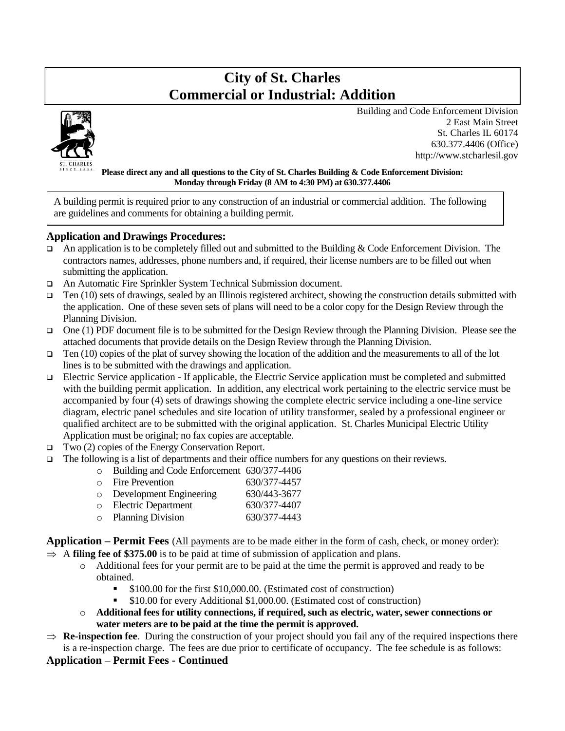## **City of St. Charles Commercial or Industrial: Addition**



 Building and Code Enforcement Division 2 East Main Street St. Charles IL 60174 630.377.4406 (Office) http://www.stcharlesil.gov

#### **Please direct any and all questions to the City of St. Charles Building & Code Enforcement Division: Monday through Friday (8 AM to 4:30 PM) at 630.377.4406**

A building permit is required prior to any construction of an industrial or commercial addition. The following are guidelines and comments for obtaining a building permit.

#### **Application and Drawings Procedures:**

- $\Box$  An application is to be completely filled out and submitted to the Building & Code Enforcement Division. The contractors names, addresses, phone numbers and, if required, their license numbers are to be filled out when submitting the application.
- ❑ An Automatic Fire Sprinkler System Technical Submission document.
- $\Box$  Ten (10) sets of drawings, sealed by an Illinois registered architect, showing the construction details submitted with the application. One of these seven sets of plans will need to be a color copy for the Design Review through the Planning Division.
- ❑ One (1) PDF document file is to be submitted for the Design Review through the Planning Division. Please see the attached documents that provide details on the Design Review through the Planning Division.
- $\Box$  Ten (10) copies of the plat of survey showing the location of the addition and the measurements to all of the lot lines is to be submitted with the drawings and application.
- ❑ Electric Service application If applicable, the Electric Service application must be completed and submitted with the building permit application. In addition, any electrical work pertaining to the electric service must be accompanied by four (4) sets of drawings showing the complete electric service including a one-line service diagram, electric panel schedules and site location of utility transformer, sealed by a professional engineer or qualified architect are to be submitted with the original application. St. Charles Municipal Electric Utility Application must be original; no fax copies are acceptable.
- ❑ Two (2) copies of the Energy Conservation Report.
- ❑ The following is a list of departments and their office numbers for any questions on their reviews.

|  |                         |  | o Building and Code Enforcement 630/377-4406 |
|--|-------------------------|--|----------------------------------------------|
|  | $\circ$ Fire Prevention |  | 630/377-4457                                 |
|  |                         |  |                                              |

| Development Engineering    | 630/443-3677 |
|----------------------------|--------------|
| <b>Electric Department</b> | 630/377-4407 |

o Planning Division 630/377-4443

**Application – Permit Fees** (All payments are to be made either in the form of cash, check, or money order):

- $\Rightarrow$  A **filing fee of \$375.00** is to be paid at time of submission of application and plans.
	- o Additional fees for your permit are to be paid at the time the permit is approved and ready to be obtained.
		- \$100.00 for the first \$10,000.00. (Estimated cost of construction)
		- \$10.00 for every Additional \$1,000.00. (Estimated cost of construction)
	- o **Additional fees for utility connections, if required, such as electric, water, sewer connections or water meters are to be paid at the time the permit is approved.**
- $\Rightarrow$  **Re-inspection fee**. During the construction of your project should you fail any of the required inspections there is a re-inspection charge. The fees are due prior to certificate of occupancy. The fee schedule is as follows:

**Application – Permit Fees - Continued**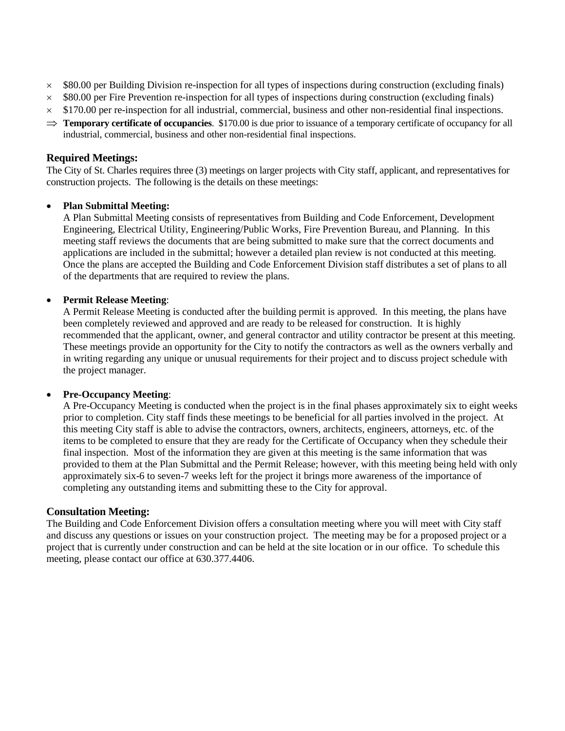- $\times$  \$80.00 per Building Division re-inspection for all types of inspections during construction (excluding finals)
- $\times$  \$80.00 per Fire Prevention re-inspection for all types of inspections during construction (excluding finals)
- $\times$  \$170.00 per re-inspection for all industrial, commercial, business and other non-residential final inspections.
- $\Rightarrow$  **Temporary certificate of occupancies**. \$170.00 is due prior to issuance of a temporary certificate of occupancy for all industrial, commercial, business and other non-residential final inspections.

#### **Required Meetings:**

The City of St. Charles requires three (3) meetings on larger projects with City staff, applicant, and representatives for construction projects. The following is the details on these meetings:

#### • **Plan Submittal Meeting:**

A Plan Submittal Meeting consists of representatives from Building and Code Enforcement, Development Engineering, Electrical Utility, Engineering/Public Works, Fire Prevention Bureau, and Planning. In this meeting staff reviews the documents that are being submitted to make sure that the correct documents and applications are included in the submittal; however a detailed plan review is not conducted at this meeting. Once the plans are accepted the Building and Code Enforcement Division staff distributes a set of plans to all of the departments that are required to review the plans.

#### • **Permit Release Meeting**:

A Permit Release Meeting is conducted after the building permit is approved. In this meeting, the plans have been completely reviewed and approved and are ready to be released for construction. It is highly recommended that the applicant, owner, and general contractor and utility contractor be present at this meeting. These meetings provide an opportunity for the City to notify the contractors as well as the owners verbally and in writing regarding any unique or unusual requirements for their project and to discuss project schedule with the project manager.

#### • **Pre-Occupancy Meeting**:

A Pre-Occupancy Meeting is conducted when the project is in the final phases approximately six to eight weeks prior to completion. City staff finds these meetings to be beneficial for all parties involved in the project. At this meeting City staff is able to advise the contractors, owners, architects, engineers, attorneys, etc. of the items to be completed to ensure that they are ready for the Certificate of Occupancy when they schedule their final inspection. Most of the information they are given at this meeting is the same information that was provided to them at the Plan Submittal and the Permit Release; however, with this meeting being held with only approximately six-6 to seven-7 weeks left for the project it brings more awareness of the importance of completing any outstanding items and submitting these to the City for approval.

#### **Consultation Meeting:**

The Building and Code Enforcement Division offers a consultation meeting where you will meet with City staff and discuss any questions or issues on your construction project. The meeting may be for a proposed project or a project that is currently under construction and can be held at the site location or in our office. To schedule this meeting, please contact our office at 630.377.4406.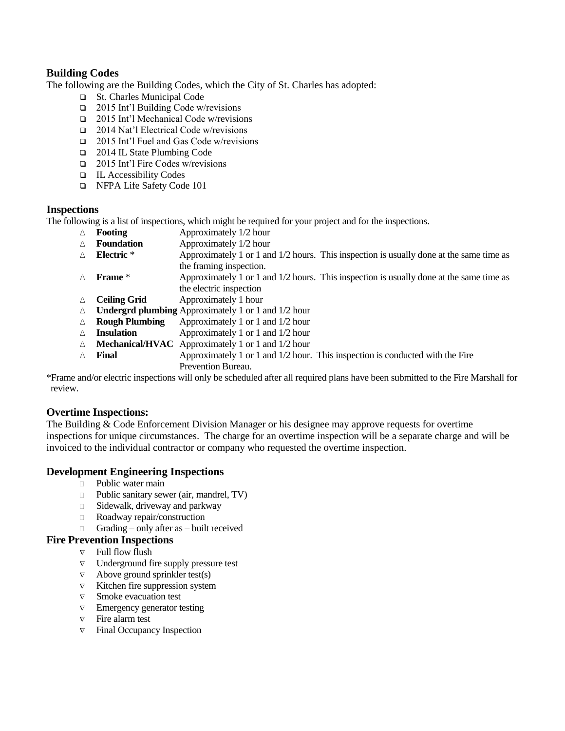### **Building Codes**

The following are the Building Codes, which the City of St. Charles has adopted:

- ❑ St. Charles Municipal Code
- ❑ 2015 Int'l Building Code w/revisions
- ❑ 2015 Int'l Mechanical Code w/revisions
- ❑ 2014 Nat'l Electrical Code w/revisions
- ❑ 2015 Int'l Fuel and Gas Code w/revisions
- ❑ 2014 IL State Plumbing Code
- ❑ 2015 Int'l Fire Codes w/revisions
- ❑ IL Accessibility Codes
- ❑ NFPA Life Safety Code 101

#### **Inspections**

The following is a list of inspections, which might be required for your project and for the inspections.

- ∆ **Footing** Approximately 1/2 hour
- ∆ **Foundation** Approximately 1/2 hour ∆ **Electric** \* Approximately 1 or 1 and 1/2 hours. This inspection is usually done at the same time as the framing inspection.
- ∆ **Frame** \* Approximately 1 or 1 and 1/2 hours. This inspection is usually done at the same time as the electric inspection
- ∆ **Ceiling Grid** Approximately 1 hour
- ∆ **Undergrd plumbing** Approximately 1 or 1 and 1/2 hour
- ∆ **Rough Plumbing** Approximately 1 or 1 and 1/2 hour
- ∆ **Insulation** Approximately 1 or 1 and 1/2 hour
- ∆ **Mechanical/HVAC** Approximately 1 or 1 and 1/2 hour
- ∆ **Final** Approximately 1 or 1 and 1/2 hour. This inspection is conducted with the Fire Prevention Bureau.

\*Frame and/or electric inspections will only be scheduled after all required plans have been submitted to the Fire Marshall for review.

#### **Overtime Inspections:**

The Building & Code Enforcement Division Manager or his designee may approve requests for overtime inspections for unique circumstances. The charge for an overtime inspection will be a separate charge and will be invoiced to the individual contractor or company who requested the overtime inspection.

#### **Development Engineering Inspections**

- **Public water main**
- $\Box$  Public sanitary sewer (air, mandrel, TV)
- $\Box$  Sidewalk, driveway and parkway
- Roadway repair/construction
	- Grading only after as built received

#### **Fire Prevention Inspections**

- $\nabla$  Full flow flush
- $\nabla$  Underground fire supply pressure test
- $\nabla$  Above ground sprinkler test(s)
- $\nabla$  Kitchen fire suppression system
- $\nabla$  Smoke evacuation test
- $\nabla$  Emergency generator testing
- $\nabla$  Fire alarm test
- $\nabla$  Final Occupancy Inspection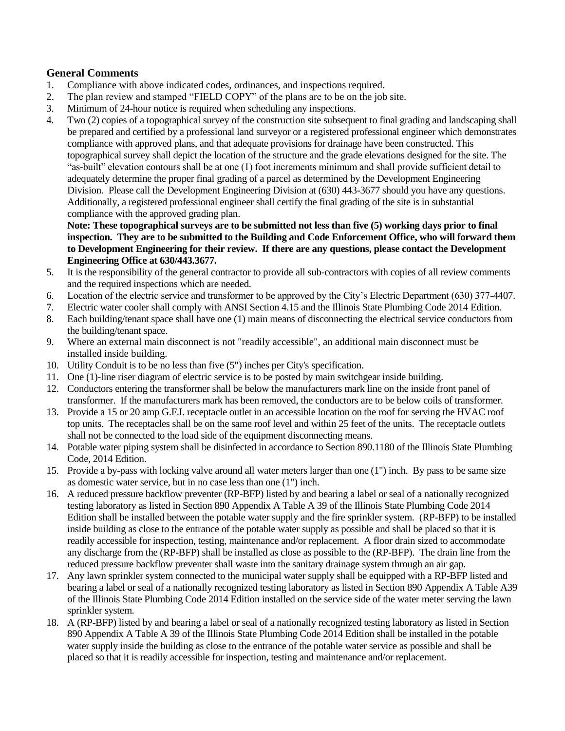### **General Comments**

- 1. Compliance with above indicated codes, ordinances, and inspections required.
- 2. The plan review and stamped "FIELD COPY" of the plans are to be on the job site.
- 3. Minimum of 24-hour notice is required when scheduling any inspections.
- 4. Two (2) copies of a topographical survey of the construction site subsequent to final grading and landscaping shall be prepared and certified by a professional land surveyor or a registered professional engineer which demonstrates compliance with approved plans, and that adequate provisions for drainage have been constructed. This topographical survey shall depict the location of the structure and the grade elevations designed for the site. The "as-built" elevation contours shall be at one (1) foot increments minimum and shall provide sufficient detail to adequately determine the proper final grading of a parcel as determined by the Development Engineering Division. Please call the Development Engineering Division at (630) 443-3677 should you have any questions. Additionally, a registered professional engineer shall certify the final grading of the site is in substantial compliance with the approved grading plan.

**Note: These topographical surveys are to be submitted not less than five (5) working days prior to final inspection. They are to be submitted to the Building and Code Enforcement Office, who will forward them to Development Engineering for their review. If there are any questions, please contact the Development Engineering Office at 630/443.3677.**

- 5. It is the responsibility of the general contractor to provide all sub-contractors with copies of all review comments and the required inspections which are needed.
- 6. Location of the electric service and transformer to be approved by the City's Electric Department (630) 377-4407.
- 7. Electric water cooler shall comply with ANSI Section 4.15 and the Illinois State Plumbing Code 2014 Edition.
- 8. Each building/tenant space shall have one (1) main means of disconnecting the electrical service conductors from the building/tenant space.
- 9. Where an external main disconnect is not "readily accessible", an additional main disconnect must be installed inside building.
- 10. Utility Conduit is to be no less than five (5") inches per City's specification.
- 11. One (1)-line riser diagram of electric service is to be posted by main switchgear inside building.
- 12. Conductors entering the transformer shall be below the manufacturers mark line on the inside front panel of transformer. If the manufacturers mark has been removed, the conductors are to be below coils of transformer.
- 13. Provide a 15 or 20 amp G.F.I. receptacle outlet in an accessible location on the roof for serving the HVAC roof top units. The receptacles shall be on the same roof level and within 25 feet of the units. The receptacle outlets shall not be connected to the load side of the equipment disconnecting means.
- 14. Potable water piping system shall be disinfected in accordance to Section 890.1180 of the Illinois State Plumbing Code, 2014 Edition.
- 15. Provide a by-pass with locking valve around all water meters larger than one (1") inch. By pass to be same size as domestic water service, but in no case less than one (1") inch.
- 16. A reduced pressure backflow preventer (RP-BFP) listed by and bearing a label or seal of a nationally recognized testing laboratory as listed in Section 890 Appendix A Table A 39 of the Illinois State Plumbing Code 2014 Edition shall be installed between the potable water supply and the fire sprinkler system. (RP-BFP) to be installed inside building as close to the entrance of the potable water supply as possible and shall be placed so that it is readily accessible for inspection, testing, maintenance and/or replacement. A floor drain sized to accommodate any discharge from the (RP-BFP) shall be installed as close as possible to the (RP-BFP). The drain line from the reduced pressure backflow preventer shall waste into the sanitary drainage system through an air gap.
- 17. Any lawn sprinkler system connected to the municipal water supply shall be equipped with a RP-BFP listed and bearing a label or seal of a nationally recognized testing laboratory as listed in Section 890 Appendix A Table A39 of the Illinois State Plumbing Code 2014 Edition installed on the service side of the water meter serving the lawn sprinkler system.
- 18. A (RP-BFP) listed by and bearing a label or seal of a nationally recognized testing laboratory as listed in Section 890 Appendix A Table A 39 of the Illinois State Plumbing Code 2014 Edition shall be installed in the potable water supply inside the building as close to the entrance of the potable water service as possible and shall be placed so that it is readily accessible for inspection, testing and maintenance and/or replacement.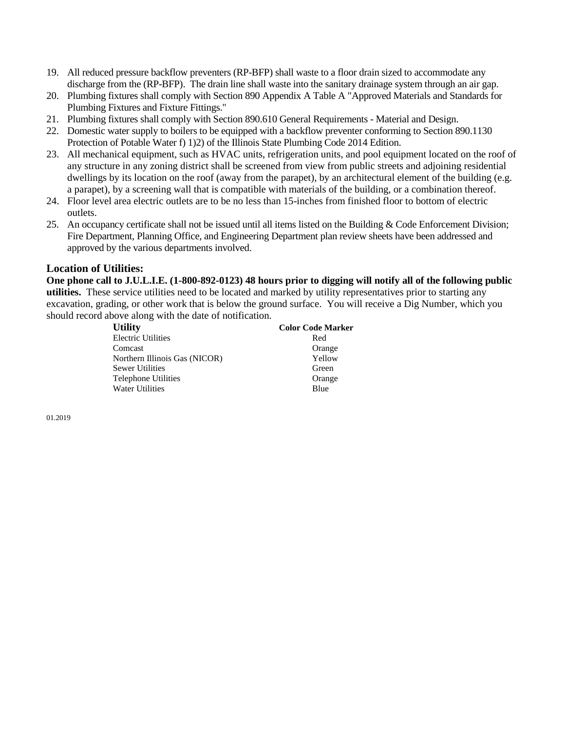- 19. All reduced pressure backflow preventers (RP-BFP) shall waste to a floor drain sized to accommodate any discharge from the (RP-BFP). The drain line shall waste into the sanitary drainage system through an air gap.
- 20. Plumbing fixtures shall comply with Section 890 Appendix A Table A "Approved Materials and Standards for Plumbing Fixtures and Fixture Fittings."
- 21. Plumbing fixtures shall comply with Section 890.610 General Requirements Material and Design.
- 22. Domestic water supply to boilers to be equipped with a backflow preventer conforming to Section 890.1130 Protection of Potable Water f) 1)2) of the Illinois State Plumbing Code 2014 Edition.
- 23. All mechanical equipment, such as HVAC units, refrigeration units, and pool equipment located on the roof of any structure in any zoning district shall be screened from view from public streets and adjoining residential dwellings by its location on the roof (away from the parapet), by an architectural element of the building (e.g. a parapet), by a screening wall that is compatible with materials of the building, or a combination thereof.
- 24. Floor level area electric outlets are to be no less than 15-inches from finished floor to bottom of electric outlets.
- 25. An occupancy certificate shall not be issued until all items listed on the Building & Code Enforcement Division; Fire Department, Planning Office, and Engineering Department plan review sheets have been addressed and approved by the various departments involved.

#### **Location of Utilities:**

**One phone call to J.U.L.I.E. (1-800-892-0123) 48 hours prior to digging will notify all of the following public utilities.** These service utilities need to be located and marked by utility representatives prior to starting any excavation, grading, or other work that is below the ground surface. You will receive a Dig Number, which you should record above along with the date of notification.

| <b>Utility</b>                | <b>Color Code Marker</b> |
|-------------------------------|--------------------------|
| <b>Electric Utilities</b>     | Red                      |
| Comcast                       | Orange                   |
| Northern Illinois Gas (NICOR) | Yellow                   |
| Sewer Utilities               | Green                    |
| <b>Telephone Utilities</b>    | Orange                   |
| <b>Water Utilities</b>        | Blue                     |

01.2019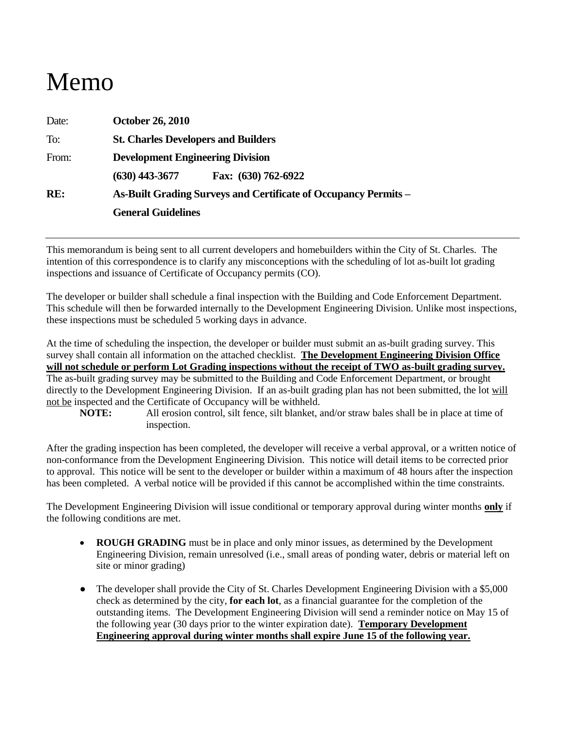# Memo

| Date: | <b>October 26, 2010</b>                                                |  |  |
|-------|------------------------------------------------------------------------|--|--|
| To:   | <b>St. Charles Developers and Builders</b>                             |  |  |
| From: | <b>Development Engineering Division</b>                                |  |  |
|       | $(630)$ 443-3677<br>Fax: (630) 762-6922                                |  |  |
| RE:   | <b>As-Built Grading Surveys and Certificate of Occupancy Permits –</b> |  |  |
|       | <b>General Guidelines</b>                                              |  |  |

This memorandum is being sent to all current developers and homebuilders within the City of St. Charles. The intention of this correspondence is to clarify any misconceptions with the scheduling of lot as-built lot grading inspections and issuance of Certificate of Occupancy permits (CO).

The developer or builder shall schedule a final inspection with the Building and Code Enforcement Department. This schedule will then be forwarded internally to the Development Engineering Division. Unlike most inspections, these inspections must be scheduled 5 working days in advance.

At the time of scheduling the inspection, the developer or builder must submit an as-built grading survey. This survey shall contain all information on the attached checklist. **The Development Engineering Division Office will not schedule or perform Lot Grading inspections without the receipt of TWO as-built grading survey.** The as-built grading survey may be submitted to the Building and Code Enforcement Department, or brought directly to the Development Engineering Division. If an as-built grading plan has not been submitted, the lot will not be inspected and the Certificate of Occupancy will be withheld.

**NOTE:** All erosion control, silt fence, silt blanket, and/or straw bales shall be in place at time of inspection.

After the grading inspection has been completed, the developer will receive a verbal approval, or a written notice of non-conformance from the Development Engineering Division. This notice will detail items to be corrected prior to approval. This notice will be sent to the developer or builder within a maximum of 48 hours after the inspection has been completed. A verbal notice will be provided if this cannot be accomplished within the time constraints.

The Development Engineering Division will issue conditional or temporary approval during winter months **only** if the following conditions are met.

- **ROUGH GRADING** must be in place and only minor issues, as determined by the Development Engineering Division, remain unresolved (i.e., small areas of ponding water, debris or material left on site or minor grading)
- The developer shall provide the City of St. Charles Development Engineering Division with a \$5,000 check as determined by the city, **for each lot**, as a financial guarantee for the completion of the outstanding items. The Development Engineering Division will send a reminder notice on May 15 of the following year (30 days prior to the winter expiration date). **Temporary Development Engineering approval during winter months shall expire June 15 of the following year.**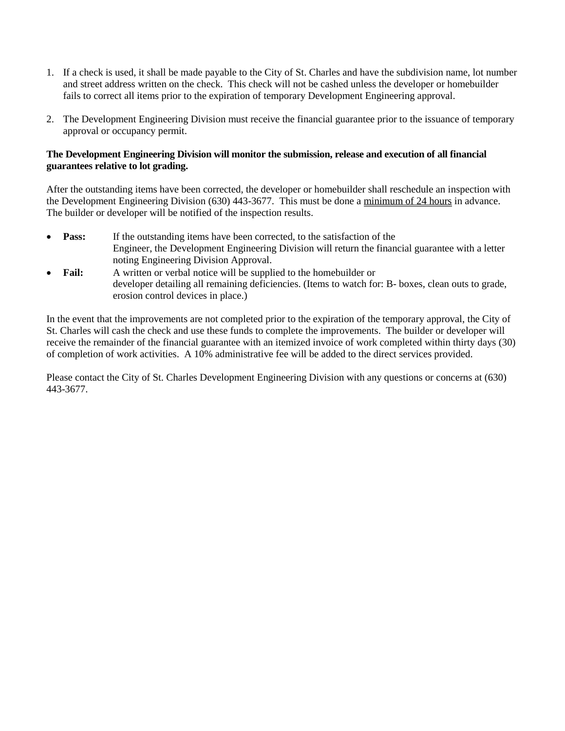- 1. If a check is used, it shall be made payable to the City of St. Charles and have the subdivision name, lot number and street address written on the check. This check will not be cashed unless the developer or homebuilder fails to correct all items prior to the expiration of temporary Development Engineering approval.
- 2. The Development Engineering Division must receive the financial guarantee prior to the issuance of temporary approval or occupancy permit.

#### **The Development Engineering Division will monitor the submission, release and execution of all financial guarantees relative to lot grading.**

After the outstanding items have been corrected, the developer or homebuilder shall reschedule an inspection with the Development Engineering Division (630) 443-3677. This must be done a minimum of 24 hours in advance. The builder or developer will be notified of the inspection results.

- **Pass:** If the outstanding items have been corrected, to the satisfaction of the Engineer, the Development Engineering Division will return the financial guarantee with a letter noting Engineering Division Approval.
- **Fail:** A written or verbal notice will be supplied to the homebuilder or developer detailing all remaining deficiencies. (Items to watch for: B- boxes, clean outs to grade, erosion control devices in place.)

In the event that the improvements are not completed prior to the expiration of the temporary approval, the City of St. Charles will cash the check and use these funds to complete the improvements. The builder or developer will receive the remainder of the financial guarantee with an itemized invoice of work completed within thirty days (30) of completion of work activities. A 10% administrative fee will be added to the direct services provided.

Please contact the City of St. Charles Development Engineering Division with any questions or concerns at (630) 443-3677.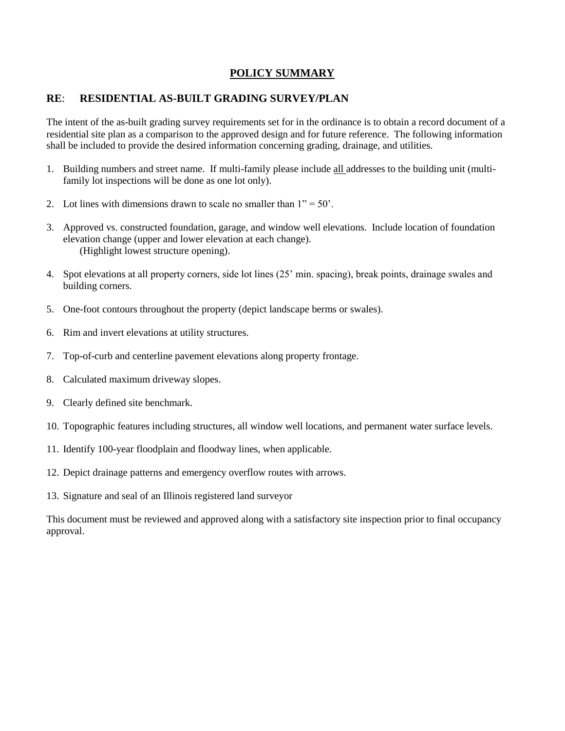### **POLICY SUMMARY**

#### **RE**: **RESIDENTIAL AS-BUILT GRADING SURVEY/PLAN**

The intent of the as-built grading survey requirements set for in the ordinance is to obtain a record document of a residential site plan as a comparison to the approved design and for future reference. The following information shall be included to provide the desired information concerning grading, drainage, and utilities.

- 1. Building numbers and street name. If multi-family please include all addresses to the building unit (multifamily lot inspections will be done as one lot only).
- 2. Lot lines with dimensions drawn to scale no smaller than  $1" = 50'$ .
- 3. Approved vs. constructed foundation, garage, and window well elevations. Include location of foundation elevation change (upper and lower elevation at each change). (Highlight lowest structure opening).
- 4. Spot elevations at all property corners, side lot lines (25' min. spacing), break points, drainage swales and building corners.
- 5. One-foot contours throughout the property (depict landscape berms or swales).
- 6. Rim and invert elevations at utility structures.
- 7. Top-of-curb and centerline pavement elevations along property frontage.
- 8. Calculated maximum driveway slopes.
- 9. Clearly defined site benchmark.
- 10. Topographic features including structures, all window well locations, and permanent water surface levels.
- 11. Identify 100-year floodplain and floodway lines, when applicable.
- 12. Depict drainage patterns and emergency overflow routes with arrows.
- 13. Signature and seal of an Illinois registered land surveyor

This document must be reviewed and approved along with a satisfactory site inspection prior to final occupancy approval.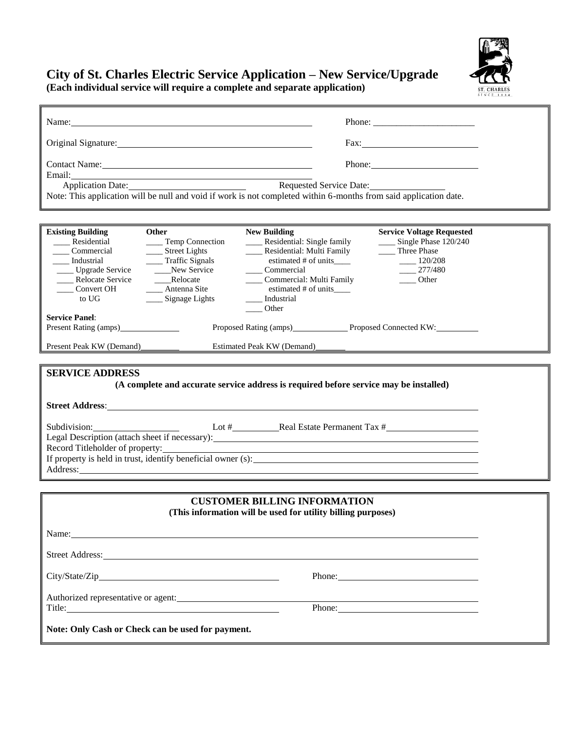### **City of St. Charles Electric Service Application – New Service/Upgrade (Each individual service will require a complete and separate application)**



| Name: Name and the set of the set of the set of the set of the set of the set of the set of the set of the set of the set of the set of the set of the set of the set of the set of the set of the set of the set of the set o                                                                                                                                                                  |                                                                                                                                                              |                                                                                                                                                                                                                              | Phone: $\frac{1}{\sqrt{1-\frac{1}{2}}}\left\{ \frac{1}{2} + \frac{1}{2} \frac{1}{2} + \frac{1}{2} \frac{1}{2} + \frac{1}{2} \frac{1}{2} + \frac{1}{2} \frac{1}{2} + \frac{1}{2} \frac{1}{2} + \frac{1}{2} \frac{1}{2} + \frac{1}{2} \frac{1}{2} + \frac{1}{2} \frac{1}{2} + \frac{1}{2} \frac{1}{2} + \frac{1}{2} \frac{1}{2} + \frac{1}{2} \frac{1}{2} + \frac{1}{2} \frac{1}{2} + \frac{1}{$ |  |
|-------------------------------------------------------------------------------------------------------------------------------------------------------------------------------------------------------------------------------------------------------------------------------------------------------------------------------------------------------------------------------------------------|--------------------------------------------------------------------------------------------------------------------------------------------------------------|------------------------------------------------------------------------------------------------------------------------------------------------------------------------------------------------------------------------------|------------------------------------------------------------------------------------------------------------------------------------------------------------------------------------------------------------------------------------------------------------------------------------------------------------------------------------------------------------------------------------------------|--|
|                                                                                                                                                                                                                                                                                                                                                                                                 |                                                                                                                                                              |                                                                                                                                                                                                                              |                                                                                                                                                                                                                                                                                                                                                                                                |  |
| Contact Name: 2008                                                                                                                                                                                                                                                                                                                                                                              |                                                                                                                                                              |                                                                                                                                                                                                                              | Phone: 2008                                                                                                                                                                                                                                                                                                                                                                                    |  |
|                                                                                                                                                                                                                                                                                                                                                                                                 |                                                                                                                                                              | Requested Service Date:<br>Note: This application will be null and void if work is not completed within 6-months from said application date.                                                                                 |                                                                                                                                                                                                                                                                                                                                                                                                |  |
|                                                                                                                                                                                                                                                                                                                                                                                                 |                                                                                                                                                              |                                                                                                                                                                                                                              |                                                                                                                                                                                                                                                                                                                                                                                                |  |
| <b>Existing Building</b><br>____ Residential<br>Commercial<br>___ Industrial<br>____ Upgrade Service<br>Relocate Service<br>____ Convert OH<br>to UG                                                                                                                                                                                                                                            | Other<br>____ Temp Connection<br>___ Street Lights<br>___ Traffic Signals<br>New Service<br>____Relocate<br>___ Antenna Site<br>$\frac{1}{2}$ Signage Lights | <b>New Building</b><br>____ Residential: Single family<br>____ Residential: Multi Family<br>estimated # of units_____<br>____ Commercial<br>____ Commercial: Multi Family<br>estimated # of units<br>___ Industrial<br>Other | <b>Service Voltage Requested</b><br>____ Single Phase 120/240<br>_____ Three Phase<br>$\frac{120}{208}$<br>$-277/480$<br>Other                                                                                                                                                                                                                                                                 |  |
| <b>Service Panel:</b>                                                                                                                                                                                                                                                                                                                                                                           |                                                                                                                                                              | Proposed Rating (amps) Proposed Connected KW:                                                                                                                                                                                |                                                                                                                                                                                                                                                                                                                                                                                                |  |
| Present Peak KW (Demand)                                                                                                                                                                                                                                                                                                                                                                        |                                                                                                                                                              | Estimated Peak KW (Demand)                                                                                                                                                                                                   |                                                                                                                                                                                                                                                                                                                                                                                                |  |
| <b>SERVICE ADDRESS</b><br>(A complete and accurate service address is required before service may be installed)<br>Lot # Real Estate Permanent Tax #<br>Subdivision:<br>Legal Description (attach sheet if necessary): __________________________________<br>Record Titleholder of property:<br>Record Titleholder of property:<br>If property is held in trust, identify beneficial owner (s): |                                                                                                                                                              |                                                                                                                                                                                                                              |                                                                                                                                                                                                                                                                                                                                                                                                |  |
| Address:                                                                                                                                                                                                                                                                                                                                                                                        |                                                                                                                                                              |                                                                                                                                                                                                                              |                                                                                                                                                                                                                                                                                                                                                                                                |  |
|                                                                                                                                                                                                                                                                                                                                                                                                 |                                                                                                                                                              |                                                                                                                                                                                                                              |                                                                                                                                                                                                                                                                                                                                                                                                |  |
|                                                                                                                                                                                                                                                                                                                                                                                                 |                                                                                                                                                              | <b>CUSTOMER BILLING INFORMATION</b><br>(This information will be used for utility billing purposes)                                                                                                                          |                                                                                                                                                                                                                                                                                                                                                                                                |  |
| Name: Name and the second contract of the second contract of the second contract of the second contract of the second contract of the second contract of the second contract of the second contract of the second contract of                                                                                                                                                                   |                                                                                                                                                              |                                                                                                                                                                                                                              |                                                                                                                                                                                                                                                                                                                                                                                                |  |
|                                                                                                                                                                                                                                                                                                                                                                                                 |                                                                                                                                                              |                                                                                                                                                                                                                              |                                                                                                                                                                                                                                                                                                                                                                                                |  |
|                                                                                                                                                                                                                                                                                                                                                                                                 |                                                                                                                                                              |                                                                                                                                                                                                                              | Phone:                                                                                                                                                                                                                                                                                                                                                                                         |  |
| Authorized representative or agent:                                                                                                                                                                                                                                                                                                                                                             |                                                                                                                                                              |                                                                                                                                                                                                                              |                                                                                                                                                                                                                                                                                                                                                                                                |  |
| Note: Only Cash or Check can be used for payment.                                                                                                                                                                                                                                                                                                                                               |                                                                                                                                                              |                                                                                                                                                                                                                              |                                                                                                                                                                                                                                                                                                                                                                                                |  |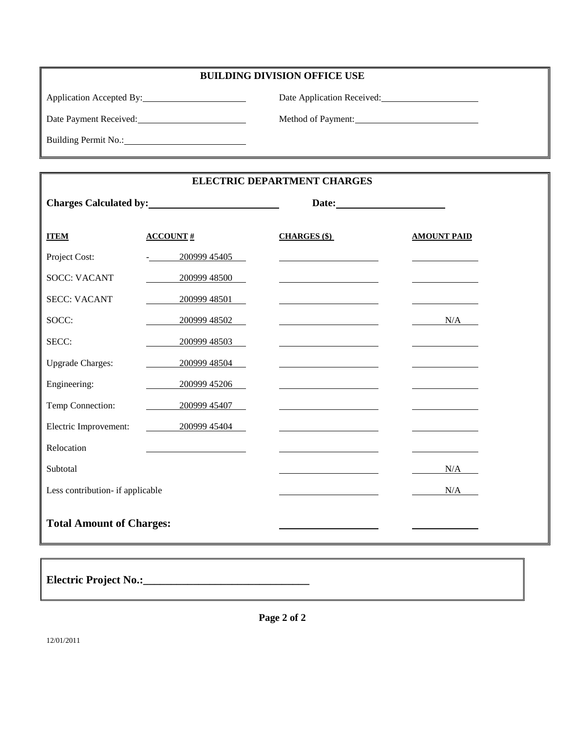|  |  | <b>BUILDING DIVISION OFFICE USE</b> |  |
|--|--|-------------------------------------|--|
|  |  |                                     |  |

Application Accepted By: Date Application Received:

Building Permit No.:

Date Payment Received: Method of Payment: Method of Payment:

**ELECTRIC DEPARTMENT CHARGES**

|                                  | Charges Calculated by: <u>contract and the set of the set of the set of the set of the set of the set of the set of the set of the set of the set of the set of the set of the set of the set of the set of the set of the set o</u> |                                                                                 |                                           |
|----------------------------------|--------------------------------------------------------------------------------------------------------------------------------------------------------------------------------------------------------------------------------------|---------------------------------------------------------------------------------|-------------------------------------------|
| <b>ITEM</b>                      | $\triangle CCOUNT$ #                                                                                                                                                                                                                 | <b>CHARGES</b> (\$)                                                             | <b>AMOUNT PAID</b>                        |
| Project Cost:                    | $-20099945405$                                                                                                                                                                                                                       | the control of the control of the control of the control of the control of      |                                           |
| <b>SOCC: VACANT</b>              | 200999 48500                                                                                                                                                                                                                         |                                                                                 |                                           |
| <b>SECC: VACANT</b>              | 200999 48501                                                                                                                                                                                                                         |                                                                                 |                                           |
| SOCC:                            | 200999 48502                                                                                                                                                                                                                         | the contract of the contract of the contract of the contract of                 | N/A                                       |
| SECC:                            | 200999 48503                                                                                                                                                                                                                         |                                                                                 |                                           |
| <b>Upgrade Charges:</b>          | 200999 48504                                                                                                                                                                                                                         | the control of the control of the control of the control of the control of      |                                           |
| Engineering:                     | 200999 45206                                                                                                                                                                                                                         |                                                                                 |                                           |
| Temp Connection:                 | 200999 45407                                                                                                                                                                                                                         |                                                                                 | the control of the control of the control |
| Electric Improvement:            | 20099945404                                                                                                                                                                                                                          | the contract of the contract of the contract of the contract of the contract of |                                           |
| Relocation                       |                                                                                                                                                                                                                                      |                                                                                 |                                           |
| Subtotal                         |                                                                                                                                                                                                                                      |                                                                                 | N/A                                       |
| Less contribution- if applicable |                                                                                                                                                                                                                                      |                                                                                 | N/A                                       |
| <b>Total Amount of Charges:</b>  |                                                                                                                                                                                                                                      |                                                                                 |                                           |
|                                  |                                                                                                                                                                                                                                      |                                                                                 |                                           |

**Electric Project No.:\_\_\_\_\_\_\_\_\_\_\_\_\_\_\_\_\_\_\_\_\_\_\_\_\_\_\_\_\_\_**

**Page 2 of 2**

12/01/2011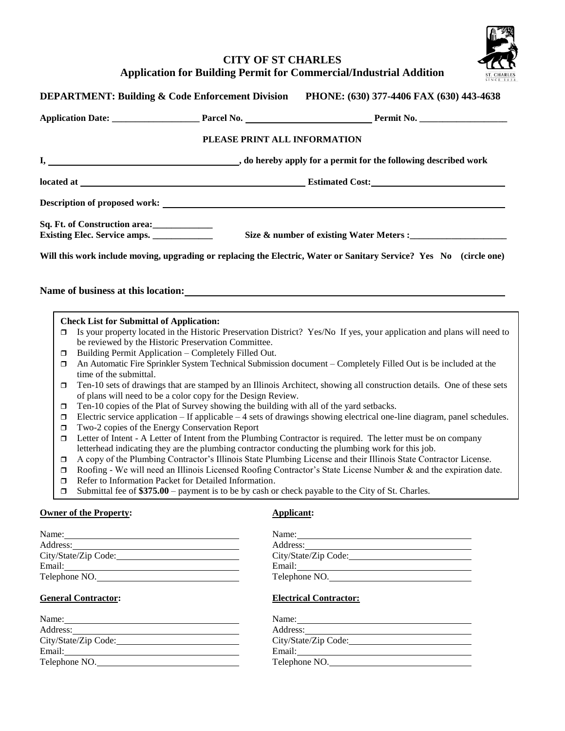



|        |                                                 | <b>DEPARTMENT: Building &amp; Code Enforcement Division</b>                             | PHONE: (630) 377-4406 FAX (630) 443-4638                                                                                |
|--------|-------------------------------------------------|-----------------------------------------------------------------------------------------|-------------------------------------------------------------------------------------------------------------------------|
|        |                                                 |                                                                                         |                                                                                                                         |
|        |                                                 | PLEASE PRINT ALL INFORMATION                                                            |                                                                                                                         |
|        |                                                 |                                                                                         |                                                                                                                         |
|        |                                                 |                                                                                         |                                                                                                                         |
|        |                                                 |                                                                                         |                                                                                                                         |
|        | Sq. Ft. of Construction area: ______________    |                                                                                         |                                                                                                                         |
|        |                                                 |                                                                                         | Will this work include moving, upgrading or replacing the Electric, Water or Sanitary Service? Yes No (circle one)      |
|        |                                                 | Name of business at this location:                                                      |                                                                                                                         |
|        |                                                 |                                                                                         |                                                                                                                         |
| σ      | <b>Check List for Submittal of Application:</b> |                                                                                         | Is your property located in the Historic Preservation District? Yes/No If yes, your application and plans will need to  |
|        |                                                 | be reviewed by the Historic Preservation Committee.                                     |                                                                                                                         |
| $\Box$ |                                                 | Building Permit Application - Completely Filled Out.                                    |                                                                                                                         |
| ο      | time of the submittal.                          |                                                                                         | An Automatic Fire Sprinkler System Technical Submission document – Completely Filled Out is be included at the          |
| σ      |                                                 | of plans will need to be a color copy for the Design Review.                            | Ten-10 sets of drawings that are stamped by an Illinois Architect, showing all construction details. One of these sets  |
| ◘      |                                                 | Ten-10 copies of the Plat of Survey showing the building with all of the yard setbacks. |                                                                                                                         |
| σ      |                                                 |                                                                                         | Electric service application - If applicable - 4 sets of drawings showing electrical one-line diagram, panel schedules. |
| σ      | Two-2 copies of the Energy Conservation Report  |                                                                                         |                                                                                                                         |
| σ      |                                                 |                                                                                         | Letter of Intent - A Letter of Intent from the Plumbing Contractor is required. The letter must be on company           |
|        |                                                 |                                                                                         | letterhead indicating they are the plumbing contractor conducting the plumbing work for this job.                       |
| σ      |                                                 |                                                                                         | A copy of the Plumbing Contractor's Illinois State Plumbing License and their Illinois State Contractor License.        |
| ◘      |                                                 |                                                                                         | Roofing - We will need an Illinois Licensed Roofing Contractor's State License Number & and the expiration date.        |
| σ      |                                                 | Refer to Information Packet for Detailed Information.                                   |                                                                                                                         |
| σ      |                                                 |                                                                                         | Submittal fee of $$375.00$ – payment is to be by cash or check payable to the City of St. Charles.                      |
|        | <b>Owner of the Property:</b>                   |                                                                                         | Applicant:                                                                                                              |
|        | Name:                                           |                                                                                         | Name:                                                                                                                   |
|        |                                                 |                                                                                         |                                                                                                                         |
|        | City/State/Zip Code:                            |                                                                                         |                                                                                                                         |
|        | Email:<br>Telephone NO.                         |                                                                                         | Email:<br>Telephone NO.                                                                                                 |
|        |                                                 |                                                                                         |                                                                                                                         |
|        | <b>General Contractor:</b>                      |                                                                                         | <b>Electrical Contractor:</b>                                                                                           |

| Name:                | Name:                |
|----------------------|----------------------|
| Address:             | Address:             |
| City/State/Zip Code: | City/State/Zip Code: |
| Email:               | Email:               |
| Telephone NO.        | Telephone NO.        |
|                      |                      |